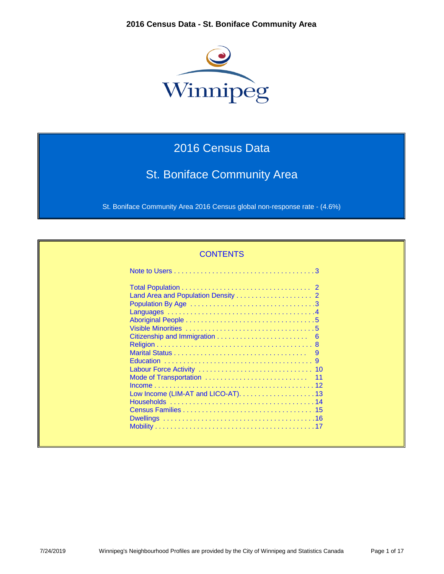

# 2016 Census Data

# St. Boniface Community Area

St. Boniface Community Area 2016 Census global non-response rate - (4.6%)

| <b>CONTENTS</b> |
|-----------------|
|                 |
|                 |
|                 |
|                 |
|                 |
|                 |
|                 |
|                 |
|                 |
|                 |
|                 |
|                 |
|                 |
|                 |
|                 |
|                 |
|                 |
|                 |
|                 |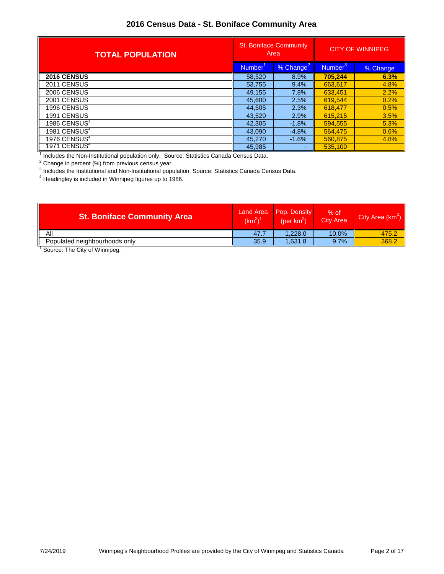| <b>TOTAL POPULATION</b>  | <b>St. Boniface Community</b><br>Area |                | <b>CITY OF WINNIPEG</b> |          |
|--------------------------|---------------------------------------|----------------|-------------------------|----------|
|                          | % Change<br><b>Number</b>             |                | Number                  | % Change |
| <b>2016 CENSUS</b>       | 58,520                                | 8.9%           | 705,244                 | 6.3%     |
| 2011 CENSUS              | 53,755                                | 9.4%           | 663,617                 | 4.8%     |
| 2006 CENSUS              | 49,155                                | 7.8%           | 633,451                 | 2.2%     |
| 2001 CENSUS              | 45,600                                | 2.5%           | 619.544                 | 0.2%     |
| 1996 CENSUS              | 44,505                                | 2.3%           | 618.477                 | 0.5%     |
| 1991 CENSUS              | 43.520                                | 2.9%           | 615.215                 | 3.5%     |
| 1986 CENSUS $4$          | 42,305                                | $-1.8%$        | 594.555                 | 5.3%     |
| 1981 CENSUS <sup>4</sup> | 43.090                                | $-4.8%$        | 564.475                 | 0.6%     |
| 1976 CENSUS $4$          | 45,270                                | $-1.6%$        | 560,875                 | 4.8%     |
| 1971 CENSUS <sup>4</sup> | 45,985                                | $\overline{a}$ | 535,100                 |          |

<sup>1</sup> Includes the Non-Institutional population only. Source: Statistics Canada Census Data.

 $2$  Change in percent (%) from previous census year.

<sup>3</sup> Includes the Institutional and Non-Institutional population. Source: Statistics Canada Census Data.

<sup>4</sup> Headingley is included in Winnipeg figures up to 1986.

| <b>St. Boniface Community Area</b> | <b>Land Area</b><br>$(km^2)^{\gamma}$ | Pop. Density<br>(per $km^2$ ) | $%$ of<br><b>City Area</b> | City Area $(km^2)$ |
|------------------------------------|---------------------------------------|-------------------------------|----------------------------|--------------------|
| Αll                                | 47.7                                  | 1.228.0                       | $10.0\%$                   | 475.2              |
| Populated neighbourhoods only      | 35.9                                  | 1.631.8                       | 9.7%                       | 368.2              |
|                                    |                                       |                               |                            |                    |

<sup>1</sup> Source: The City of Winnipeg.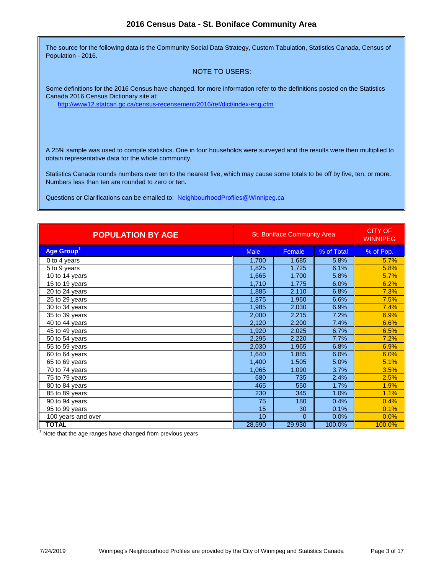The source for the following data is the Community Social Data Strategy, Custom Tabulation, Statistics Canada, Census of Population - 2016.

#### NOTE TO USERS:

Some definitions for the 2016 Census have changed, for more information refer to the definitions posted on the Statistics Canada 2016 Census Dictionary site at:

[http://www12.statcan.gc.ca/census-recensement/2016/ref/dict/](http://www12.statcan.gc.ca/census-recensement/2016/ref/dict/index-eng.cfm)index-eng.cfm

A 25% sample was used to compile statistics. One in four households were surveyed and the results were then multiplied to obtain representative data for the whole community.

Statistics Canada rounds numbers over ten to the nearest five, which may cause some totals to be off by five, ten, or more. Numbers less than ten are rounded to zero or ten.

[Questions or Clarifications can be emailed to: NeighbourhoodProf](mailto:NeighbourhoodProfiles@Winnipeg.ca)iles@Winnipeg.ca

| <b>POPULATION BY AGE</b>    | <b>St. Boniface Community Area</b> | <b>CITY OF</b><br><b>WINNIPEG</b> |            |           |
|-----------------------------|------------------------------------|-----------------------------------|------------|-----------|
| Age Group <sup>1</sup>      | <b>Male</b>                        | Female                            | % of Total | % of Pop. |
| $\overline{0}$ to 4 years   | 1,700                              | 1,685                             | 5.8%       | 5.7%      |
| 5 to 9 years                | 1,825                              | 1,725                             | 6.1%       | 5.8%      |
| 10 to 14 years              | 1,665                              | 1,700                             | 5.8%       | 5.7%      |
| $\overline{15}$ to 19 years | 1,710                              | 1,775                             | 6.0%       | 6.2%      |
| 20 to 24 years              | 1,885                              | 2,110                             | 6.8%       | 7.3%      |
| 25 to 29 years              | 1,875                              | 1,960                             | 6.6%       | 7.5%      |
| 30 to 34 years              | 1,985                              | 2,030                             | 6.9%       | 7.4%      |
| 35 to 39 years              | 2,000                              | 2,215                             | 7.2%       | 6.9%      |
| 40 to 44 years              | 2,120                              | 2,200                             | 7.4%       | 6.6%      |
| 45 to 49 years              | 1,920                              | 2,025                             | 6.7%       | 6.5%      |
| 50 to 54 years              | 2,295                              | 2,220                             | 7.7%       | 7.2%      |
| 55 to 59 years              | 2,030                              | 1,965                             | 6.8%       | 6.9%      |
| 60 to 64 years              | 1,640                              | 1,885                             | 6.0%       | 6.0%      |
| $65$ to 69 years            | 1,400                              | 1,505                             | 5.0%       | 5.1%      |
| 70 to 74 years              | 1,065                              | 1,090                             | 3.7%       | 3.5%      |
| 75 to 79 years              | 680                                | 735                               | 2.4%       | 2.5%      |
| 80 to 84 years              | 465                                | 550                               | 1.7%       | 1.9%      |
| 85 to 89 years              | 230                                | 345                               | 1.0%       | 1.1%      |
| 90 to 94 years              | 75                                 | 180                               | 0.4%       | 0.4%      |
| $\overline{95}$ to 99 years | 15                                 | 30                                | 0.1%       | 0.1%      |
| 100 years and over          | 10                                 | $\Omega$                          | 0.0%       | 0.0%      |
| <b>TOTAL</b>                | 28,590                             | 29,930                            | 100.0%     | 100.0%    |

 $1$  Note that the age ranges have changed from previous years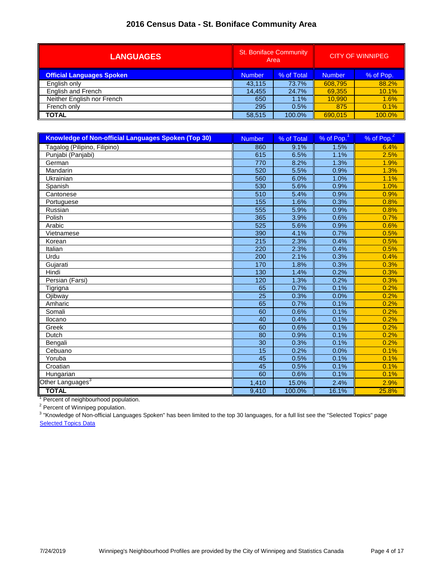| <b>LANGUAGES</b>                 | <b>St. Boniface Community</b><br>Area |            |               | <b>CITY OF WINNIPEG</b> |
|----------------------------------|---------------------------------------|------------|---------------|-------------------------|
| <b>Official Languages Spoken</b> | <b>Number</b>                         | % of Total | <b>Number</b> | % of Pop.               |
| English only                     | 43.115                                | 73.7%      | 608,795       | 88.2%                   |
| English and French               | 14.455                                | 24.7%      | 69,355        | 10.1%                   |
| Neither English nor French       | 650                                   | 1.1%       | 10.990        | 1.6%                    |
| French only                      | 295                                   | 0.5%       | 875           | 0.1%                    |
| <b>TOTAL</b>                     | 58,515                                | 100.0%     | 690.015       | 100.0%                  |

| <b>Knowledge of Non-official Languages Spoken (Top 30)</b> | <b>Number</b>   | % of Total | $%$ of Pop. $1$ | % of Pop. <sup>2</sup> |
|------------------------------------------------------------|-----------------|------------|-----------------|------------------------|
| Tagalog (Pilipino, Filipino)                               | 860             | 9.1%       | 1.5%            | 6.4%                   |
| Punjabi (Panjabi)                                          | 615             | 6.5%       | 1.1%            | 2.5%                   |
| German                                                     | 770             | 8.2%       | 1.3%            | 1.9%                   |
| Mandarin                                                   | 520             | 5.5%       | 0.9%            | 1.3%                   |
| Ukrainian                                                  | 560             | 6.0%       | 1.0%            | 1.1%                   |
| Spanish                                                    | 530             | 5.6%       | 0.9%            | 1.0%                   |
| Cantonese                                                  | 510             | 5.4%       | 0.9%            | 0.9%                   |
| Portuguese                                                 | 155             | 1.6%       | 0.3%            | 0.8%                   |
| Russian                                                    | 555             | 5.9%       | 0.9%            | 0.8%                   |
| Polish                                                     | 365             | 3.9%       | 0.6%            | 0.7%                   |
| Arabic                                                     | 525             | 5.6%       | 0.9%            | 0.6%                   |
| Vietnamese                                                 | 390             | 4.1%       | 0.7%            | 0.5%                   |
| Korean                                                     | 215             | 2.3%       | 0.4%            | 0.5%                   |
| Italian                                                    | 220             | 2.3%       | 0.4%            | 0.5%                   |
| Urdu                                                       | 200             | 2.1%       | 0.3%            | 0.4%                   |
| Gujarati                                                   | 170             | 1.8%       | 0.3%            | 0.3%                   |
| Hindi                                                      | 130             | 1.4%       | 0.2%            | 0.3%                   |
| Persian (Farsi)                                            | 120             | 1.3%       | 0.2%            | 0.3%                   |
| Tigrigna                                                   | 65              | 0.7%       | 0.1%            | 0.2%                   |
| Ojibway                                                    | $\overline{25}$ | 0.3%       | 0.0%            | 0.2%                   |
| Amharic                                                    | 65              | 0.7%       | 0.1%            | 0.2%                   |
| Somali                                                     | $\overline{60}$ | 0.6%       | 0.1%            | 0.2%                   |
| Ilocano                                                    | 40              | 0.4%       | 0.1%            | 0.2%                   |
| Greek                                                      | 60              | 0.6%       | 0.1%            | 0.2%                   |
| Dutch                                                      | 80              | 0.9%       | 0.1%            | 0.2%                   |
| Bengali                                                    | 30              | 0.3%       | 0.1%            | 0.2%                   |
| Cebuano                                                    | 15              | 0.2%       | 0.0%            | 0.1%                   |
| Yoruba                                                     | 45              | 0.5%       | 0.1%            | 0.1%                   |
| Croatian                                                   | $\overline{45}$ | 0.5%       | 0.1%            | 0.1%                   |
| Hungarian                                                  | 60              | 0.6%       | 0.1%            | 0.1%                   |
| Other Languages <sup>3</sup>                               | 1,410           | 15.0%      | 2.4%            | 2.9%                   |
| <b>TOTAL</b>                                               | 9,410           | 100.0%     | 16.1%           | 25.8%                  |

<sup>1</sup> Percent of neighbourhood population.

<sup>2</sup> Percent of Winnipeg population.

<sup>3</sup> "Knowledge of Non-official Languages Spoken" has been limited to the top 30 languages, for a full list see the "Selected Topics" page **[Selected Topics Data](http://winnipeg.ca/census/2016/Selected Topics/default.asp)**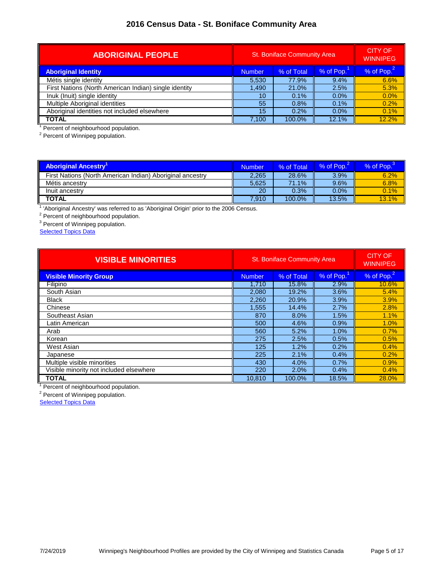| <b>ABORIGINAL PEOPLE</b>                              | <b>St. Boniface Community Area</b>       | <b>CITY OF</b><br><b>WINNIPEG</b> |         |              |
|-------------------------------------------------------|------------------------------------------|-----------------------------------|---------|--------------|
| <b>Aboriginal Identity</b>                            | % of Pop.<br>% of Total<br><b>Number</b> |                                   |         | % of $Pop.2$ |
| Métis single identity                                 | 5,530                                    | 77.9%                             | 9.4%    | 6.6%         |
| First Nations (North American Indian) single identity | 1.490                                    | 21.0%                             | 2.5%    | 5.3%         |
| Inuk (Inuit) single identity                          | 10                                       | 0.1%                              | $0.0\%$ | 0.0%         |
| Multiple Aboriginal identities                        | 55                                       | 0.8%                              | $0.1\%$ | 0.2%         |
| Aboriginal identities not included elsewhere          | 15                                       | 0.2%                              | $0.0\%$ | 0.1%         |
| <b>TOTAL</b>                                          | 7,100                                    | 100.0%                            | 12.1%   | 12.2%        |

<sup>1</sup> Percent of neighbourhood population.<br><sup>2</sup> Percent of Winnipeg population.

| <b>Aboriginal Ancestry'</b>                               | Number | % of Total | % of Pop. | % of Pop. |
|-----------------------------------------------------------|--------|------------|-----------|-----------|
| First Nations (North American Indian) Aboriginal ancestry | 2,265  | 28.6%      | 3.9%      | 6.2%      |
| Métis ancestry                                            | 5.625  | 71.1%      | 9.6%      | 6.8%      |
| Inuit ancestry                                            | 20     | 0.3%       | 0.0%      | 0.1%      |
| <b>TOTAL</b>                                              | 7.910  | 100.0%     | 13.5%     | 13.1%     |

<sup>1</sup> 'Aboriginal Ancestry' was referred to as 'Aboriginal Origin' prior to the 2006 Census.

<sup>2</sup> Percent of neighbourhood population.<br><sup>3</sup> Percent of Winnipeg population.

**[Selected Topics Data](http://winnipeg.ca/census/2016/Selected Topics/default.asp)** 

| <b>VISIBLE MINORITIES</b>               | <b>St. Boniface Community Area</b> | <b>CITY OF</b><br><b>WINNIPEG</b> |           |                        |
|-----------------------------------------|------------------------------------|-----------------------------------|-----------|------------------------|
| <b>Visible Minority Group</b>           | <b>Number</b>                      | % of Total                        | % of Pop. | % of Pop. <sup>2</sup> |
| Filipino                                | 1.710                              | 15.8%                             | 2.9%      | 10.6%                  |
| South Asian                             | 2,080                              | 19.2%                             | 3.6%      | 5.4%                   |
| <b>Black</b>                            | 2,260                              | 20.9%                             | 3.9%      | 3.9%                   |
| Chinese                                 | 1,555                              | 14.4%                             | 2.7%      | 2.8%                   |
| Southeast Asian                         | 870                                | 8.0%                              | 1.5%      | 1.1%                   |
| Latin American                          | 500                                | 4.6%                              | 0.9%      | 1.0%                   |
| Arab                                    | 560                                | 5.2%                              | 1.0%      | 0.7%                   |
| Korean                                  | 275                                | 2.5%                              | 0.5%      | 0.5%                   |
| West Asian                              | 125                                | 1.2%                              | 0.2%      | 0.4%                   |
| Japanese                                | 225                                | 2.1%                              | 0.4%      | 0.2%                   |
| Multiple visible minorities             | 430                                | 4.0%                              | 0.7%      | 0.9%                   |
| Visible minority not included elsewhere | 220                                | 2.0%                              | 0.4%      | 0.4%                   |
| <b>TOTAL</b>                            | 10,810                             | 100.0%                            | 18.5%     | 28.0%                  |

<sup>1</sup> Percent of neighbourhood population.

<sup>2</sup> Percent of Winnipeg population.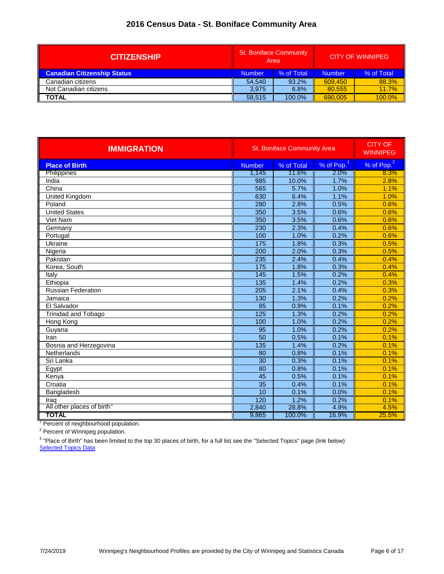| <b>CITIZENSHIP</b>                 | <b>St. Boniface Community</b><br>Area |        |               | <b>CITY OF WINNIPEG</b> |
|------------------------------------|---------------------------------------|--------|---------------|-------------------------|
| <b>Canadian Citizenship Status</b> | % of Total<br><b>Number</b>           |        | <b>Number</b> | % of Total              |
| Canadian citizens                  | 54.540                                | 93.2%  | 609.450       | 88.3%                   |
| Not Canadian citizens              | 3.975                                 | 6.8%   | 80.555        | 11.7%                   |
| <b>TOTAL</b>                       | 58.515                                | 100.0% | 690.005       | 100.0%                  |

| <b>IMMIGRATION</b>                     |                  | <b>St. Boniface Community Area</b> | <b>CITY OF</b><br><b>WINNIPEG</b> |                        |
|----------------------------------------|------------------|------------------------------------|-----------------------------------|------------------------|
| <b>Place of Birth</b>                  | <b>Number</b>    | % of Total                         | $%$ of Pop. $1$                   | % of Pop. <sup>2</sup> |
| Philippines                            | 1,145            | 11.6%                              | 2.0%                              | 8.3%                   |
| India                                  | 985              | 10.0%                              | 1.7%                              | 2.8%                   |
| China                                  | 565              | 5.7%                               | 1.0%                              | 1.1%                   |
| <b>United Kingdom</b>                  | 630              | 6.4%                               | 1.1%                              | 1.0%                   |
| Poland                                 | 280              | 2.8%                               | 0.5%                              | 0.6%                   |
| <b>United States</b>                   | 350              | 3.5%                               | 0.6%                              | 0.6%                   |
| Viet Nam                               | 350              | 3.5%                               | 0.6%                              | 0.6%                   |
| Germany                                | 230              | 2.3%                               | 0.4%                              | 0.6%                   |
| Portugal                               | 100              | 1.0%                               | 0.2%                              | 0.6%                   |
| Ukraine                                | $\overline{175}$ | 1.8%                               | 0.3%                              | 0.5%                   |
| Nigeria                                | 200              | 2.0%                               | 0.3%                              | 0.5%                   |
| Pakistan                               | 235              | 2.4%                               | 0.4%                              | 0.4%                   |
| Korea, South                           | 175              | 1.8%                               | 0.3%                              | 0.4%                   |
| Italy                                  | 145              | 1.5%                               | 0.2%                              | 0.4%                   |
| Ethiopia                               | $\frac{135}{1}$  | 1.4%                               | 0.2%                              | 0.3%                   |
| <b>Russian Federation</b>              | 205              | 2.1%                               | 0.4%                              | 0.3%                   |
| Jamaica                                | 130              | 1.3%                               | 0.2%                              | 0.2%                   |
| El Salvador                            | $\overline{85}$  | 0.9%                               | 0.1%                              | 0.2%                   |
| <b>Trinidad and Tobago</b>             | 125              | 1.3%                               | 0.2%                              | 0.2%                   |
| Hong Kong                              | 100              | 1.0%                               | 0.2%                              | 0.2%                   |
| Guyana                                 | 95               | 1.0%                               | 0.2%                              | 0.2%                   |
| Iran                                   | 50               | 0.5%                               | 0.1%                              | 0.1%                   |
| Bosnia and Herzegovina                 | 135              | 1.4%                               | 0.2%                              | 0.1%                   |
| Netherlands                            | 80               | 0.8%                               | 0.1%                              | 0.1%                   |
| Sri Lanka                              | 30               | 0.3%                               | 0.1%                              | 0.1%                   |
| Egypt                                  | $\overline{80}$  | 0.8%                               | 0.1%                              | 0.1%                   |
| Kenya                                  | $\overline{45}$  | 0.5%                               | 0.1%                              | 0.1%                   |
| Croatia                                | $\overline{35}$  | 0.4%                               | 0.1%                              | 0.1%                   |
| Bangladesh                             | $\overline{10}$  | 0.1%                               | 0.0%                              | 0.1%                   |
| Iraq                                   | 120              | 1.2%                               | 0.2%                              | 0.1%                   |
| All other places of birth <sup>3</sup> | 2,840            | 28.8%                              | 4.9%                              | 4.5%                   |
| <b>TOTAL</b>                           | 9,865            | 100.0%                             | 16.9%                             | 25.5%                  |

<sup>1</sup> Percent of neighbourhood population.

<sup>2</sup> Percent of Winnipeg population.

**[Selected Topics Data](http://winnipeg.ca/census/2016/Selected Topics/default.asp)** <sup>3</sup> "Place of Birth" has been limited to the top 30 places of birth, for a full list see the "Selected Topics" page (link below)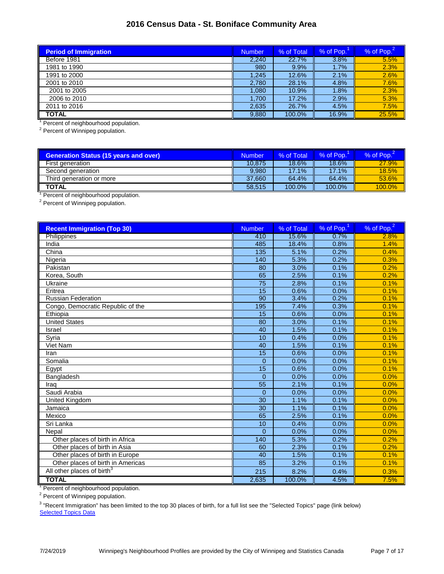| <b>Period of Immigration</b> | Number | % of Total | % of Pop. | % of Pop. <sup>2</sup> |
|------------------------------|--------|------------|-----------|------------------------|
| Before 1981                  | 2.240  | 22.7%      | 3.8%      | 5.5%                   |
| 1981 to 1990                 | 980    | 9.9%       | $1.7\%$   | 2.3%                   |
| 1991 to 2000                 | 1,245  | 12.6%      | 2.1%      | 2.6%                   |
| 2001 to 2010                 | 2,780  | 28.1%      | 4.8%      | 7.6%                   |
| 2001 to 2005                 | 1,080  | 10.9%      | 1.8%      | 2.3%                   |
| 2006 to 2010                 | 1.700  | 17.2%      | 2.9%      | 5.3%                   |
| 2011 to 2016                 | 2,635  | 26.7%      | 4.5%      | 7.5%                   |
| <b>TOTAL</b>                 | 9,880  | 100.0%     | 16.9%     | 25.5%                  |

<sup>1</sup> Percent of neighbourhood population.

<sup>2</sup> Percent of Winnipeg population.

| <b>Number</b> | % of Total | % of Pop. | % of Pop. |
|---------------|------------|-----------|-----------|
| 10.875        | 18.6%      | 18.6%     | 27.9%     |
| 9.980         | 17.1%      | 17.1%     | 18.5%     |
| 37.660        | 64.4%      | 64.4%     | 53.6%     |
| 58.515        | 100.0%     | 100.0%    | 100.0%    |
|               |            |           |           |

<sup>1</sup> Percent of neighbourhood population.<br><sup>2</sup> Percent of Winnipeg population.

| <b>Recent Immigration (Top 30)</b>     | <b>Number</b>   | % of Total | % of $Pop.1$ | % of Pop. <sup>2</sup> |
|----------------------------------------|-----------------|------------|--------------|------------------------|
| Philippines                            | 410             | 15.6%      | 0.7%         | 2.8%                   |
| India                                  | 485             | 18.4%      | 0.8%         | 1.4%                   |
| China                                  | 135             | 5.1%       | 0.2%         | 0.4%                   |
| Nigeria                                | 140             | 5.3%       | 0.2%         | 0.3%                   |
| Pakistan                               | 80              | 3.0%       | 0.1%         | 0.2%                   |
| Korea, South                           | 65              | 2.5%       | 0.1%         | 0.2%                   |
| Ukraine                                | $\overline{75}$ | 2.8%       | 0.1%         | 0.1%                   |
| Eritrea                                | 15              | 0.6%       | 0.0%         | 0.1%                   |
| <b>Russian Federation</b>              | $\overline{90}$ | 3.4%       | 0.2%         | 0.1%                   |
| Congo, Democratic Republic of the      | 195             | 7.4%       | 0.3%         | 0.1%                   |
| Ethiopia                               | 15              | 0.6%       | 0.0%         | 0.1%                   |
| <b>United States</b>                   | 80              | 3.0%       | 0.1%         | 0.1%                   |
| Israel                                 | 40              | 1.5%       | 0.1%         | 0.1%                   |
| Syria                                  | 10              | 0.4%       | 0.0%         | 0.1%                   |
| <b>Viet Nam</b>                        | 40              | 1.5%       | 0.1%         | 0.1%                   |
| Iran                                   | 15              | 0.6%       | 0.0%         | 0.1%                   |
| Somalia                                | $\Omega$        | 0.0%       | 0.0%         | 0.1%                   |
| Egypt                                  | 15              | 0.6%       | 0.0%         | 0.1%                   |
| Bangladesh                             | $\overline{0}$  | 0.0%       | 0.0%         | 0.0%                   |
| Iraq                                   | 55              | 2.1%       | 0.1%         | 0.0%                   |
| Saudi Arabia                           | $\Omega$        | 0.0%       | 0.0%         | 0.0%                   |
| United Kingdom                         | 30              | 1.1%       | 0.1%         | 0.0%                   |
| Jamaica                                | 30              | 1.1%       | 0.1%         | 0.0%                   |
| Mexico                                 | 65              | 2.5%       | 0.1%         | 0.0%                   |
| Sri Lanka                              | 10              | 0.4%       | 0.0%         | 0.0%                   |
| Nepal                                  | $\Omega$        | 0.0%       | 0.0%         | 0.0%                   |
| Other places of birth in Africa        | 140             | 5.3%       | 0.2%         | 0.2%                   |
| Other places of birth in Asia          | 60              | 2.3%       | 0.1%         | 0.2%                   |
| Other places of birth in Europe        | 40              | 1.5%       | 0.1%         | 0.1%                   |
| Other places of birth in Americas      | 85              | 3.2%       | 0.1%         | 0.1%                   |
| All other places of birth <sup>3</sup> | 215             | 8.2%       | 0.4%         | 0.3%                   |
| <b>TOTAL</b>                           | 2,635           | 100.0%     | 4.5%         | 7.5%                   |

<sup>1</sup> Percent of neighbourhood population.

<sup>2</sup> Percent of Winnipeg population.

**[Selected Topics Data](http://winnipeg.ca/census/2016/Selected Topics/default.asp)** <sup>3</sup> "Recent Immigration" has been limited to the top 30 places of birth, for a full list see the "Selected Topics" page (link below)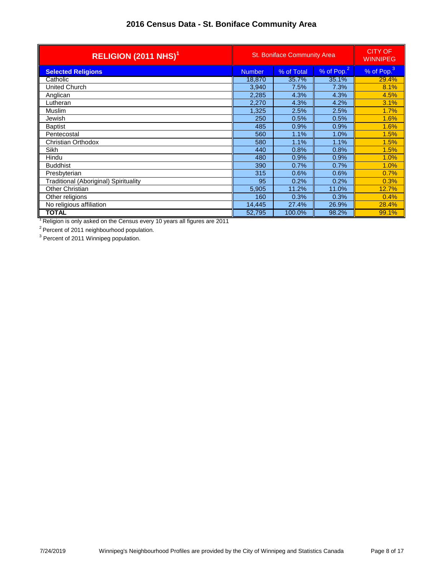| RELIGION (2011 NHS) <sup>1</sup>      |               | <b>St. Boniface Community Area</b> | <b>CITY OF</b><br><b>WINNIPEG</b> |                        |
|---------------------------------------|---------------|------------------------------------|-----------------------------------|------------------------|
| <b>Selected Religions</b>             | <b>Number</b> | % of Total                         | % of Pop. <sup>2</sup>            | % of Pop. <sup>3</sup> |
| Catholic                              | 18,870        | 35.7%                              | 35.1%                             | 29.4%                  |
| United Church                         | 3,940         | 7.5%                               | 7.3%                              | 8.1%                   |
| Anglican                              | 2,285         | 4.3%                               | 4.3%                              | 4.5%                   |
| Lutheran                              | 2,270         | 4.3%                               | 4.2%                              | 3.1%                   |
| Muslim                                | 1,325         | 2.5%                               | 2.5%                              | 1.7%                   |
| Jewish                                | 250           | 0.5%                               | 0.5%                              | 1.6%                   |
| <b>Baptist</b>                        | 485           | 0.9%                               | 0.9%                              | 1.6%                   |
| Pentecostal                           | 560           | 1.1%                               | 1.0%                              | 1.5%                   |
| Christian Orthodox                    | 580           | 1.1%                               | 1.1%                              | 1.5%                   |
| Sikh                                  | 440           | 0.8%                               | 0.8%                              | 1.5%                   |
| Hindu                                 | 480           | 0.9%                               | 0.9%                              | 1.0%                   |
| <b>Buddhist</b>                       | 390           | 0.7%                               | 0.7%                              | 1.0%                   |
| Presbyterian                          | 315           | 0.6%                               | 0.6%                              | 0.7%                   |
| Traditional (Aboriginal) Spirituality | 95            | 0.2%                               | 0.2%                              | 0.3%                   |
| Other Christian                       | 5,905         | 11.2%                              | 11.0%                             | 12.7%                  |
| Other religions                       | 160           | 0.3%                               | 0.3%                              | 0.4%                   |
| No religious affiliation              | 14,445        | 27.4%                              | 26.9%                             | 28.4%                  |
| TOTAL                                 | 52,795        | 100.0%                             | 98.2%                             | 99.1%                  |

 $1$  Religion is only asked on the Census every 10 years all figures are 2011

<sup>2</sup> Percent of 2011 neighbourhood population.<br><sup>3</sup> Percent of 2011 Winnipeg population.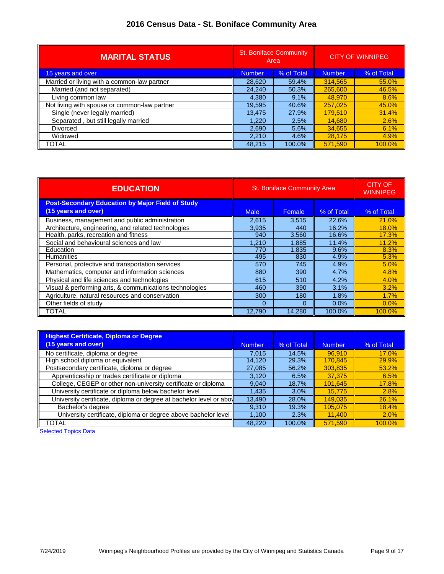| <b>MARITAL STATUS</b>                        | <b>St. Boniface Community</b><br>Area |            | <b>CITY OF WINNIPEG</b> |            |
|----------------------------------------------|---------------------------------------|------------|-------------------------|------------|
| 15 years and over                            | <b>Number</b>                         | % of Total | <b>Number</b>           | % of Total |
| Married or living with a common-law partner  | 28,620                                | 59.4%      | 314,565                 | 55.0%      |
| Married (and not separated)                  | 24,240                                | 50.3%      | 265,600                 | 46.5%      |
| Living common law                            | 4,380                                 | 9.1%       | 48.970                  | 8.6%       |
| Not living with spouse or common-law partner | 19,595                                | 40.6%      | 257,025                 | 45.0%      |
| Single (never legally married)               | 13,475                                | 27.9%      | 179.510                 | 31.4%      |
| Separated, but still legally married         | 1,220                                 | 2.5%       | 14,680                  | 2.6%       |
| <b>Divorced</b>                              | 2,690                                 | 5.6%       | 34,655                  | 6.1%       |
| Widowed                                      | 2,210                                 | 4.6%       | 28,175                  | 4.9%       |
| TOTAL                                        | 48.215                                | 100.0%     | 571.590                 | 100.0%     |

| <b>EDUCATION</b>                                                               | <b>St. Boniface Community Area</b> | <b>CITY OF</b><br><b>WINNIPEG</b> |            |            |
|--------------------------------------------------------------------------------|------------------------------------|-----------------------------------|------------|------------|
| <b>Post-Secondary Education by Major Field of Study</b><br>(15 years and over) | <b>Male</b>                        | Female                            | % of Total | % of Total |
| Business, management and public administration                                 | 2,615                              | 3.515                             | 22.6%      | 21.0%      |
| Architecture, engineering, and related technologies                            | 3.935                              | 440                               | 16.2%      | 18.0%      |
| Health, parks, recreation and fitness                                          | 940                                | 3,560                             | 16.6%      | 17.3%      |
| Social and behavioural sciences and law                                        | 1,210                              | 1,885                             | 11.4%      | 11.2%      |
| Education                                                                      | 770                                | 1,835                             | 9.6%       | 8.3%       |
| <b>Humanities</b>                                                              | 495                                | 830                               | 4.9%       | 5.3%       |
| Personal, protective and transportation services                               | 570                                | 745                               | 4.9%       | 5.0%       |
| Mathematics, computer and information sciences                                 | 880                                | 390                               | 4.7%       | 4.8%       |
| Physical and life sciences and technologies                                    | 615                                | 510                               | 4.2%       | 4.0%       |
| Visual & performing arts, & communications technologies                        | 460                                | 390                               | 3.1%       | 3.2%       |
| Agriculture, natural resources and conservation                                | 300                                | 180                               | 1.8%       | 1.7%       |
| Other fields of study                                                          | $\Omega$                           | $\Omega$                          | $0.0\%$    | $0.0\%$    |
| <b>TOTAL</b>                                                                   | 12.790                             | 14.280                            | 100.0%     | 100.0%     |

| <b>Highest Certificate, Diploma or Degree</b>                      |        |            |         |            |
|--------------------------------------------------------------------|--------|------------|---------|------------|
| (15 years and over)                                                | Number | % of Total | Number  | % of Total |
| No certificate, diploma or degree                                  | 7.015  | 14.5%      | 96.910  | 17.0%      |
| High school diploma or equivalent                                  | 14.120 | 29.3%      | 170,845 | 29.9%      |
| Postsecondary certificate, diploma or degree                       | 27,085 | 56.2%      | 303.835 | 53.2%      |
| Apprenticeship or trades certificate or diploma                    | 3,120  | 6.5%       | 37.375  | 6.5%       |
| College, CEGEP or other non-university certificate or diploma      | 9,040  | 18.7%      | 101,645 | 17.8%      |
| University certificate or diploma below bachelor level             | 1.435  | 3.0%       | 15.775  | 2.8%       |
| University certificate, diploma or degree at bachelor level or abo | 13.490 | 28.0%      | 149.035 | 26.1%      |
| Bachelor's degree                                                  | 9.310  | 19.3%      | 105,075 | 18.4%      |
| University certificate, diploma or degree above bachelor level     | 1,100  | 2.3%       | 11,400  | 2.0%       |
| <b>TOTAL</b>                                                       | 48,220 | 100.0%     | 571.590 | 100.0%     |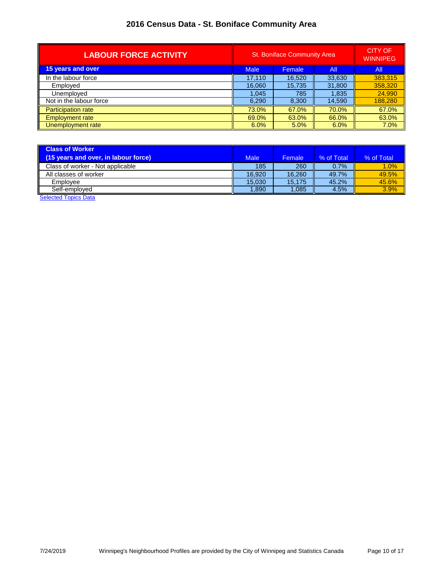| <b>LABOUR FORCE ACTIVITY</b> | <b>St. Boniface Community Area</b> |        |        | <b>CITY OF</b><br><b>WINNIPEG</b> |
|------------------------------|------------------------------------|--------|--------|-----------------------------------|
| 15 years and over            | <b>Male</b>                        | Female | All    | All                               |
| In the labour force          | 17,110                             | 16,520 | 33,630 | 383,315                           |
| Employed                     | 16.060                             | 15.735 | 31,800 | 358,320                           |
| Unemployed                   | 1,045                              | 785    | 1,835  | 24,990                            |
| Not in the labour force      | 6,290                              | 8,300  | 14,590 | 188,280                           |
| <b>Participation rate</b>    | 73.0%                              | 67.0%  | 70.0%  | 67.0%                             |
| <b>Employment rate</b>       | 69.0%                              | 63.0%  | 66.0%  | 63.0%                             |
| Unemployment rate            | 6.0%                               | 5.0%   | 6.0%   | 7.0%                              |

| <b>Class of Worker</b><br>(15 years and over, in labour force)    | <b>Male</b> | Female | % of Total | % of Total |
|-------------------------------------------------------------------|-------------|--------|------------|------------|
| Class of worker - Not applicable                                  | 185         | 260    | 0.7%       | 1.0%       |
| All classes of worker                                             | 16.920      | 16.260 | 49.7%      | 49.5%      |
| Employee                                                          | 15.030      | 15.175 | 45.2%      | 45.6%      |
| Self-emploved<br>$\sim$ $\sim$ $\sim$ $\sim$ $\sim$ $\sim$ $\sim$ | 1,890       | 1,085  | 4.5%       | 3.9%       |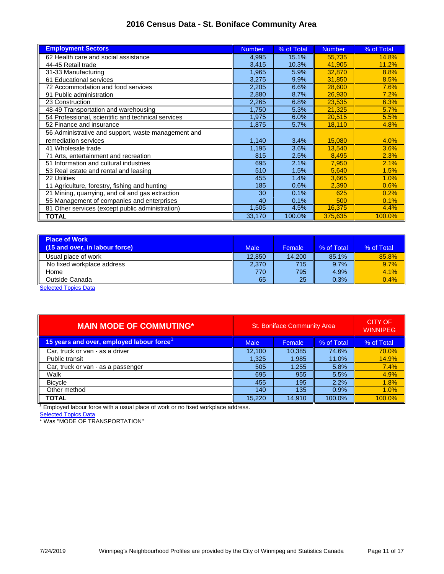| <b>Employment Sectors</b>                           | <b>Number</b> | % of Total | <b>Number</b> | % of Total |
|-----------------------------------------------------|---------------|------------|---------------|------------|
| 62 Health care and social assistance                | 4,995         | 15.1%      | 55,735        | 14.8%      |
| 44-45 Retail trade                                  | 3,415         | 10.3%      | 41,905        | 11.2%      |
| 31-33 Manufacturing                                 | 1,965         | 5.9%       | 32,870        | 8.8%       |
| 61 Educational services                             | 3,275         | 9.9%       | 31.850        | 8.5%       |
| 72 Accommodation and food services                  | 2,205         | 6.6%       | 28,600        | 7.6%       |
| 91 Public administration                            | 2,880         | 8.7%       | 26,930        | 7.2%       |
| 23 Construction                                     | 2,265         | 6.8%       | 23,535        | 6.3%       |
| 48-49 Transportation and warehousing                | 1,750         | 5.3%       | 21,325        | 5.7%       |
| 54 Professional, scientific and technical services  | 1,975         | 6.0%       | 20,515        | 5.5%       |
| 52 Finance and insurance                            | 1,875         | 5.7%       | 18,110        | 4.8%       |
| 56 Administrative and support, waste management and |               |            |               |            |
| remediation services                                | 1,140         | 3.4%       | 15,080        | 4.0%       |
| 41 Wholesale trade                                  | 1,195         | 3.6%       | 13.540        | 3.6%       |
| 71 Arts, entertainment and recreation               | 815           | 2.5%       | 8,495         | 2.3%       |
| 51 Information and cultural industries              | 695           | 2.1%       | 7,950         | 2.1%       |
| 53 Real estate and rental and leasing               | 510           | 1.5%       | 5,640         | 1.5%       |
| 22 Utilities                                        | 455           | 1.4%       | 3,665         | 1.0%       |
| 11 Agriculture, forestry, fishing and hunting       | 185           | 0.6%       | 2,390         | 0.6%       |
| 21 Mining, quarrying, and oil and gas extraction    | 30            | 0.1%       | 625           | 0.2%       |
| 55 Management of companies and enterprises          | 40            | 0.1%       | 500           | 0.1%       |
| 81 Other services (except public administration)    | 1,505         | 4.5%       | 16,375        | 4.4%       |
| <b>TOTAL</b>                                        | 33,170        | 100.0%     | 375,635       | 100.0%     |

| <b>Place of Work</b>           |             |        |            |            |
|--------------------------------|-------------|--------|------------|------------|
| (15 and over, in labour force) | <b>Male</b> | Female | % of Total | % of Total |
| Usual place of work            | 12.850      | 14.200 | 85.1%      | 85.8%      |
| No fixed workplace address     | 2.370       | 715    | 9.7%       | 9.7%       |
| Home                           | 770         | 795    | 4.9%       | 4.1%       |
| Outside Canada                 | 65          | 25     | 0.3%       | 0.4%       |

**[Selected Topics Data](http://winnipeg.ca/census/2016/Selected Topics/default.asp)** 

| <b>MAIN MODE OF COMMUTING*</b>           | <b>St. Boniface Community Area</b>  |        |        | <b>CITY OF</b><br><b>WINNIPEG</b> |
|------------------------------------------|-------------------------------------|--------|--------|-----------------------------------|
| 15 years and over, employed labour force | % of Total<br>Female<br><b>Male</b> |        |        | % of Total                        |
| Car, truck or van - as a driver          | 12,100                              | 10,385 | 74.6%  | 70.0%                             |
| Public transit                           | 1,325                               | 1,985  | 11.0%  | 14.9%                             |
| Car, truck or van - as a passenger       | 505                                 | 1,255  | 5.8%   | 7.4%                              |
| Walk                                     | 695                                 | 955    | 5.5%   | 4.9%                              |
| <b>Bicycle</b>                           | 455                                 | 195    | 2.2%   | 1.8%                              |
| Other method                             | 140                                 | 135    | 0.9%   | 1.0%                              |
| <b>TOTAL</b>                             | 15.220                              | 14.910 | 100.0% | 100.0%                            |

 $1$  Employed labour force with a usual place of work or no fixed workplace address.

**[Selected Topics Data](http://winnipeg.ca/census/2016/Selected Topics/default.asp)** 

\* Was "MODE OF TRANSPORTATION"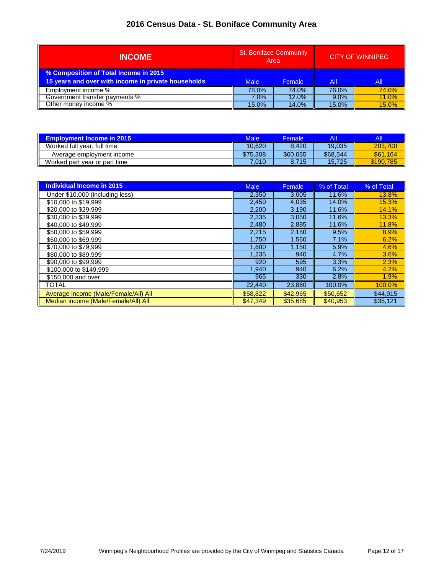| <b>INCOME</b>                                                                                | <b>St. Boniface Community</b><br>Area |        |         | <b>CITY OF WINNIPEG</b> |
|----------------------------------------------------------------------------------------------|---------------------------------------|--------|---------|-------------------------|
| % Composition of Total Income in 2015<br>15 years and over with income in private households | <b>Male</b>                           | Female | All     | All                     |
| Employment income %                                                                          | 78.0%                                 | 74.0%  | 76.0%   | 74.0%                   |
| Government transfer payments %                                                               | 7.0%                                  | 12.0%  | $9.0\%$ | 11.0%                   |
| Other money income %                                                                         | 15.0%                                 | 14.0%  | 15.0%   | 15.0%                   |

| <b>Employment Income in 2015</b> | Male            | <b>Female</b> | All      | All       |
|----------------------------------|-----------------|---------------|----------|-----------|
| Worked full year, full time      | 10.620          | 8.420         | 19.035   | 203.700   |
| Average employment income        | \$75.308        | \$60,065      | \$68,544 | \$61.164  |
| Worked part year or part time    | $^{\prime}.010$ | 8.715         | 15.725   | \$190,785 |

| <b>Individual Income in 2015</b>     | <b>Male</b> | Female   | % of Total | % of Total |
|--------------------------------------|-------------|----------|------------|------------|
| Under \$10,000 (including loss)      | 2,350       | 3,005    | 11.6%      | 13.8%      |
| \$10,000 to \$19,999                 | 2,450       | 4,035    | 14.0%      | 15.3%      |
| \$20,000 to \$29.999                 | 2,200       | 3,190    | 11.6%      | 14.1%      |
| \$30,000 to \$39,999                 | 2,335       | 3.050    | 11.6%      | 13.3%      |
| \$40,000 to \$49.999                 | 2,480       | 2,885    | 11.6%      | 11.8%      |
| \$50,000 to \$59.999                 | 2,215       | 2,180    | 9.5%       | 8.9%       |
| \$60,000 to \$69,999                 | 1,750       | 1,560    | 7.1%       | 6.2%       |
| \$70,000 to \$79.999                 | 1,600       | 1.150    | 5.9%       | 4.6%       |
| \$80,000 to \$89,999                 | 1,235       | 940      | 4.7%       | 3.6%       |
| \$90,000 to \$99.999                 | 920         | 595      | 3.3%       | 2.3%       |
| \$100,000 to \$149,999               | 1,940       | 940      | 6.2%       | 4.2%       |
| \$150,000 and over                   | 965         | 330      | 2.8%       | 1.9%       |
| TOTAL                                | 22,440      | 23,860   | 100.0%     | 100.0%     |
| Average income (Male/Female/All) All | \$58,822    | \$42,965 | \$50,652   | \$44.915   |
| Median income (Male/Female/All) All  | \$47,349    | \$35,685 | \$40,953   | \$35,121   |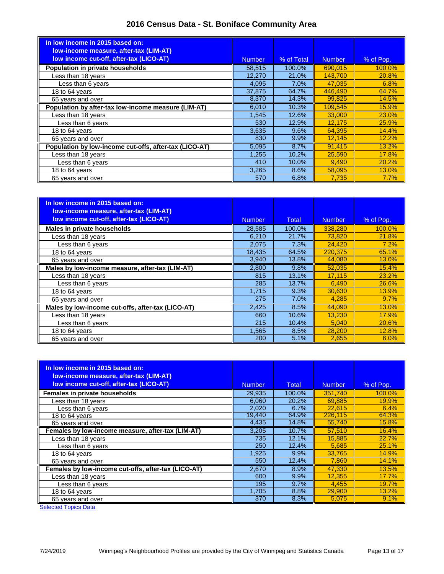| In low income in 2015 based on:<br><b>Iow-income measure, after-tax (LIM-AT)</b> |               |            |               |              |
|----------------------------------------------------------------------------------|---------------|------------|---------------|--------------|
| low income cut-off, after-tax (LICO-AT)                                          | <b>Number</b> | % of Total | <b>Number</b> | % of Pop.    |
| Population in private households                                                 | 58,515        | 100.0%     | 690.015       | 100.0%       |
| Less than 18 years                                                               | 12.270        | 21.0%      | 143.700       | 20.8%        |
| Less than 6 years                                                                | 4,095         | 7.0%       | 47.035        | 6.8%         |
| 18 to 64 years                                                                   | 37,875        | 64.7%      | 446.490       | 64.7%        |
| 65 years and over                                                                | 8,370         | 14.3%      | 99,825        | 14.5%        |
| Population by after-tax low-income measure (LIM-AT)                              | 6,010         | 10.3%      | 109.545       | 15.9%        |
| Less than 18 years                                                               | 1,545         | 12.6%      | 33,000        | 23.0%        |
| Less than 6 years                                                                | 530           | 12.9%      | 12,175        | 25.9%        |
| 18 to 64 years                                                                   | 3,635         | 9.6%       | 64.395        | 14.4%        |
| 65 years and over                                                                | 830           | 9.9%       | 12,145        | 12.2%        |
| Population by low-income cut-offs, after-tax (LICO-AT)                           | 5,095         | 8.7%       | 91.415        | 13.2%        |
| Less than 18 years                                                               | 1,255         | 10.2%      | 25,590        | <b>17.8%</b> |
| Less than 6 years                                                                | 410           | 10.0%      | 9,490         | 20.2%        |
| 18 to 64 years                                                                   | 3,265         | 8.6%       | 58,095        | 13.0%        |
| 65 years and over                                                                | 570           | 6.8%       | 7.735         | 7.7%         |

| In low income in 2015 based on:<br>low-income measure, after-tax (LIM-AT) |               |              |               |           |
|---------------------------------------------------------------------------|---------------|--------------|---------------|-----------|
| low income cut-off, after-tax (LICO-AT)                                   | <b>Number</b> | <b>Total</b> | <b>Number</b> | % of Pop. |
| Males in private households                                               | 28,585        | 100.0%       | 338,280       | 100.0%    |
| Less than 18 years                                                        | 6,210         | 21.7%        | 73,820        | 21.8%     |
| Less than 6 years                                                         | 2,075         | 7.3%         | 24,420        | 7.2%      |
| 18 to 64 years                                                            | 18,435        | 64.5%        | 220.375       | 65.1%     |
| 65 years and over                                                         | 3,940         | 13.8%        | 44,080        | 13.0%     |
| Males by low-income measure, after-tax (LIM-AT)                           | 2,800         | 9.8%         | 52,035        | 15.4%     |
| Less than 18 years                                                        | 815           | 13.1%        | 17.115        | 23.2%     |
| Less than 6 years                                                         | 285           | 13.7%        | 6.490         | 26.6%     |
| 18 to 64 years                                                            | 1.715         | 9.3%         | 30,630        | 13.9%     |
| 65 years and over                                                         | 275           | 7.0%         | 4.285         | 9.7%      |
| Males by low-income cut-offs, after-tax (LICO-AT)                         | 2,425         | 8.5%         | 44,090        | 13.0%     |
| Less than 18 years                                                        | 660           | 10.6%        | 13.230        | 17.9%     |
| Less than 6 years                                                         | 215           | 10.4%        | 5,040         | 20.6%     |
| 18 to 64 years                                                            | 1,565         | 8.5%         | 28,200        | 12.8%     |
| 65 years and over                                                         | 200           | 5.1%         | 2.655         | 6.0%      |

| In low income in 2015 based on:<br>low-income measure, after-tax (LIM-AT)<br>low income cut-off, after-tax (LICO-AT) | <b>Number</b> | <b>Total</b> | <b>Number</b> | % of Pop.    |
|----------------------------------------------------------------------------------------------------------------------|---------------|--------------|---------------|--------------|
| Females in private households                                                                                        | 29.935        | 100.0%       | 351.740       | 100.0%       |
| Less than 18 years                                                                                                   | 6.060         | 20.2%        | 69.885        | <b>19.9%</b> |
| Less than 6 years                                                                                                    | 2,020         | 6.7%         | 22.615        | 6.4%         |
| 18 to 64 years                                                                                                       | 19,440        | 64.9%        | 226.115       | 64.3%        |
| 65 years and over                                                                                                    | 4,435         | 14.8%        | 55,740        | 15.8%        |
| Females by low-income measure, after-tax (LIM-AT)                                                                    | 3,205         | 10.7%        | 57.510        | 16.4%        |
| Less than 18 years                                                                                                   | 735           | 12.1%        | 15.885        | 22.7%        |
| Less than 6 years                                                                                                    | 250           | 12.4%        | 5.685         | 25.1%        |
| 18 to 64 years                                                                                                       | 1,925         | 9.9%         | 33.765        | <b>14.9%</b> |
| 65 years and over                                                                                                    | 550           | 12.4%        | 7,860         | 14.1%        |
| Females by low-income cut-offs, after-tax (LICO-AT)                                                                  | 2,670         | 8.9%         | 47.330        | 13.5%        |
| Less than 18 years                                                                                                   | 600           | 9.9%         | 12.355        | 17.7%        |
| Less than 6 years                                                                                                    | 195           | 9.7%         | 4,455         | 19.7%        |
| 18 to 64 years                                                                                                       | 1,705         | 8.8%         | 29,900        | 13.2%        |
| 65 years and over                                                                                                    | 370           | 8.3%         | 5,075         | 9.1%         |
| <b>Selected Topics Data</b>                                                                                          |               |              |               |              |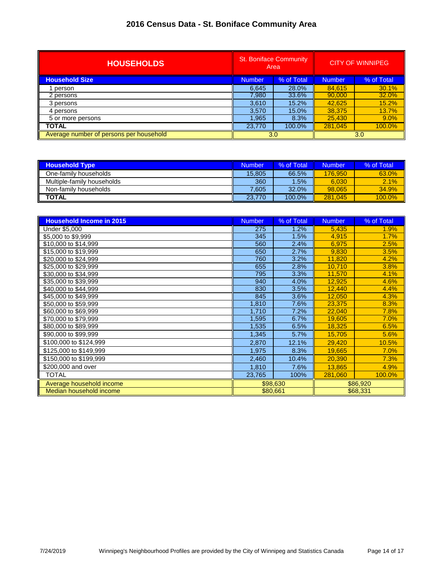| <b>HOUSEHOLDS</b>                       | <b>St. Boniface Community</b><br>Area |            |               |            |  | <b>CITY OF WINNIPEG</b> |
|-----------------------------------------|---------------------------------------|------------|---------------|------------|--|-------------------------|
| <b>Household Size</b>                   | Number                                | % of Total | <b>Number</b> | % of Total |  |                         |
| person                                  | 6.645                                 | 28.0%      | 84,615        | 30.1%      |  |                         |
| 2 persons                               | 7,980                                 | 33.6%      | 90,000        | 32.0%      |  |                         |
| 3 persons                               | 3,610                                 | 15.2%      | 42.625        | 15.2%      |  |                         |
| 4 persons                               | 3,570                                 | 15.0%      | 38,375        | 13.7%      |  |                         |
| 5 or more persons                       | 1,965                                 | 8.3%       | 25,430        | 9.0%       |  |                         |
| <b>TOTAL</b>                            | 23,770                                | 100.0%     | 281.045       | 100.0%     |  |                         |
| Average number of persons per household |                                       | 3.0        |               | 3.0        |  |                         |

| <b>Household Type</b>      | Number | % of Total | Number  | % of Total |
|----------------------------|--------|------------|---------|------------|
| One-family households      | 15.805 | 66.5%      | 176,950 | 63.0%      |
| Multiple-family households | 360    | $1.5\%$    | 6.030   | 2.1%       |
| Non-family households      | 7.605  | 32.0%      | 98.065  | 34.9%      |
| <b>TOTAL</b>               | 23.770 | 100.0%     | 281.045 | 100.0%     |

| <b>Household Income in 2015</b> | <b>Number</b> | % of Total | <b>Number</b> | % of Total |
|---------------------------------|---------------|------------|---------------|------------|
| <b>Under \$5,000</b>            | 275           | 1.2%       | 5,435         | 1.9%       |
| \$5,000 to \$9,999              | 345           | 1.5%       | 4,915         | 1.7%       |
| \$10,000 to \$14,999            | 560           | 2.4%       | 6,975         | 2.5%       |
| \$15,000 to \$19,999            | 650           | 2.7%       | 9,830         | 3.5%       |
| \$20,000 to \$24,999            | 760           | 3.2%       | 11,820        | 4.2%       |
| \$25,000 to \$29,999            | 655           | 2.8%       | 10,710        | 3.8%       |
| \$30,000 to \$34,999            | 795           | 3.3%       | 11,570        | 4.1%       |
| \$35,000 to \$39,999            | 940           | 4.0%       | 12,925        | 4.6%       |
| \$40,000 to \$44,999            | 830           | 3.5%       | 12,440        | 4.4%       |
| \$45,000 to \$49,999            | 845           | 3.6%       | 12,050        | 4.3%       |
| \$50,000 to \$59,999            | 1,810         | 7.6%       | 23,375        | 8.3%       |
| \$60,000 to \$69,999            | 1,710         | 7.2%       | 22,040        | 7.8%       |
| \$70,000 to \$79,999            | 1,595         | 6.7%       | 19,605        | 7.0%       |
| \$80,000 to \$89,999            | 1,535         | 6.5%       | 18,325        | 6.5%       |
| \$90,000 to \$99,999            | 1,345         | 5.7%       | 15,705        | 5.6%       |
| \$100,000 to \$124,999          | 2,870         | 12.1%      | 29,420        | 10.5%      |
| \$125,000 to \$149,999          | 1,975         | 8.3%       | 19,665        | 7.0%       |
| \$150,000 to \$199,999          | 2,460         | 10.4%      | 20,390        | 7.3%       |
| \$200,000 and over              | 1.810         | 7.6%       | 13.865        | 4.9%       |
| <b>TOTAL</b>                    | 23,765        | 100%       | 281.060       | 100.0%     |
| Average household income        | \$98,630      |            |               | \$86,920   |
| Median household income         |               | \$80,661   |               | \$68,331   |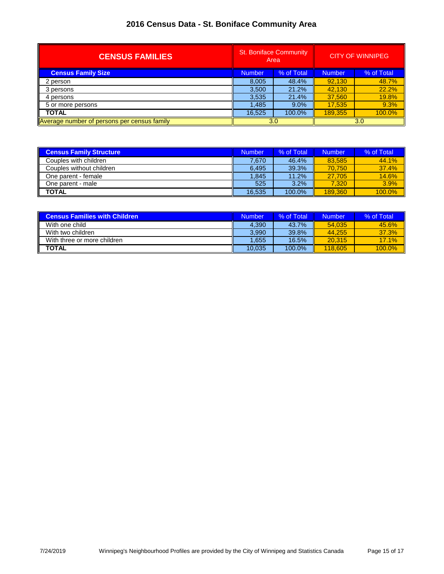| <b>CENSUS FAMILIES</b>                      | <b>St. Boniface Community</b><br>Area |            |               | <b>CITY OF WINNIPEG</b> |
|---------------------------------------------|---------------------------------------|------------|---------------|-------------------------|
| <b>Census Family Size</b>                   | <b>Number</b>                         | % of Total | <b>Number</b> | % of Total              |
| 2 person                                    | 8,005                                 | 48.4%      | 92.130        | 48.7%                   |
| 3 persons                                   | 3,500                                 | 21.2%      | 42,130        | 22.2%                   |
| 4 persons                                   | 3,535                                 | 21.4%      | 37,560        | 19.8%                   |
| 5 or more persons                           | 1,485                                 | $9.0\%$    | 17,535        | 9.3%                    |
| <b>TOTAL</b>                                | 16.525                                | 100.0%     | 189.355       | 100.0%                  |
| Average number of persons per census family |                                       | 3.0        |               | 3.0                     |

| <b>Census Family Structure</b> | Number | % of Total | Number  | % of Total |
|--------------------------------|--------|------------|---------|------------|
| Couples with children          | 7.670  | 46.4%      | 83.585  | 44.1%      |
| Couples without children       | 6.495  | 39.3%      | 70.750  | 37.4%      |
| One parent - female            | 1.845  | 11.2%      | 27.705  | 14.6%      |
| One parent - male              | 525    | 3.2%       | 7.320   | 3.9%       |
| <b>TOTAL</b>                   | 16.535 | 100.0%     | 189.360 | 100.0%     |

| <b>Census Families with Children</b> | Number | % of Total | <b>Number</b> | % of Total |
|--------------------------------------|--------|------------|---------------|------------|
| With one child                       | 4.390  | 43.7%      | 54.035        | 45.6%      |
| With two children                    | 3.990  | 39.8%      | 44.255        | 37.3%      |
| With three or more children          | 1.655  | 16.5%      | 20.315        | 17.1%      |
| <b>TOTAL</b>                         | 10.035 | $100.0\%$  | 118,605       | 100.0%     |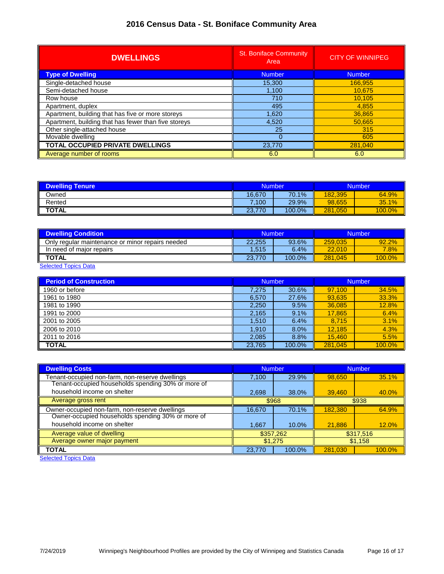| <b>DWELLINGS</b>                                     | <b>St. Boniface Community</b><br>Area | <b>CITY OF WINNIPEG</b> |
|------------------------------------------------------|---------------------------------------|-------------------------|
| <b>Type of Dwelling</b>                              | <b>Number</b>                         | <b>Number</b>           |
| Single-detached house                                | 15,300                                | 166,955                 |
| Semi-detached house                                  | 1,100                                 | 10.675                  |
| Row house                                            | 710                                   | 10.105                  |
| Apartment, duplex                                    | 495                                   | 4.855                   |
| Apartment, building that has five or more storeys    | 1,620                                 | 36,865                  |
| Apartment, building that has fewer than five storeys | 4,520                                 | 50,665                  |
| Other single-attached house                          | 25                                    | 315                     |
| Movable dwelling                                     |                                       | 605                     |
| <b>TOTAL OCCUPIED PRIVATE DWELLINGS</b>              | 23,770                                | 281,040                 |
| Average number of rooms                              | 6.0                                   | 6.0                     |

| <b>Dwelling Tenure</b> | <b>Number</b> |        | <b>Number</b> |           |
|------------------------|---------------|--------|---------------|-----------|
| Owned                  | 16.670        | 70.1%  | 182.395       | 64.9%     |
| Rented                 | .100          | 29.9%  | 98.655        | 35.1%     |
| <b>TOTAL</b>           | .770<br>23.7  | 100.0% | 281,050       | $100.0\%$ |

| <b>Dwelling Condition</b>                        | <b>Number</b> |        | <b>Number</b> |           |
|--------------------------------------------------|---------------|--------|---------------|-----------|
| Only regular maintenance or minor repairs needed | 22.255        | 93.6%  | 259.035       | 92.2%     |
| In need of major repairs                         | 1.515         | 6.4%   | 22,010        | 7.8%      |
| <b>TOTAL</b>                                     | 23.770        | 100.0% | 281.045       | $100.0\%$ |

**[Selected Topics Data](http://winnipeg.ca/census/2016/Selected Topics/default.asp)** 

| <b>Period of Construction</b> | <b>Number</b> |        | Number  |        |
|-------------------------------|---------------|--------|---------|--------|
| 1960 or before                | 7.275         | 30.6%  | 97.100  | 34.5%  |
| 1961 to 1980                  | 6.570         | 27.6%  | 93,635  | 33.3%  |
| 1981 to 1990                  | 2,250         | 9.5%   | 36,085  | 12.8%  |
| 1991 to 2000                  | 2,165         | 9.1%   | 17.865  | 6.4%   |
| 2001 to 2005                  | 1.510         | 6.4%   | 8,715   | 3.1%   |
| 2006 to 2010                  | 1,910         | 8.0%   | 12.185  | 4.3%   |
| 2011 to 2016                  | 2,085         | 8.8%   | 15.460  | 5.5%   |
| <b>TOTAL</b>                  | 23,765        | 100.0% | 281.045 | 100.0% |

| <b>Dwelling Costs</b>                              | <b>Number</b> |        | <b>Number</b> |        |
|----------------------------------------------------|---------------|--------|---------------|--------|
| Tenant-occupied non-farm, non-reserve dwellings    | 7,100         | 29.9%  | 98.650        | 35.1%  |
| Tenant-occupied households spending 30% or more of |               |        |               |        |
| household income on shelter                        | 2,698         | 38.0%  | 39,460        | 40.0%  |
| Average gross rent                                 | \$968         |        | \$938         |        |
| Owner-occupied non-farm, non-reserve dwellings     | 16,670        | 70.1%  | 182,380       | 64.9%  |
| Owner-occupied households spending 30% or more of  |               |        |               |        |
| household income on shelter                        | 1.667         | 10.0%  | 21,886        | 12.0%  |
| Average value of dwelling                          | \$357,262     |        | \$317,516     |        |
| Average owner major payment                        | \$1,275       |        | \$1,158       |        |
| <b>TOTAL</b>                                       | 23,770        | 100.0% | 281.030       | 100.0% |